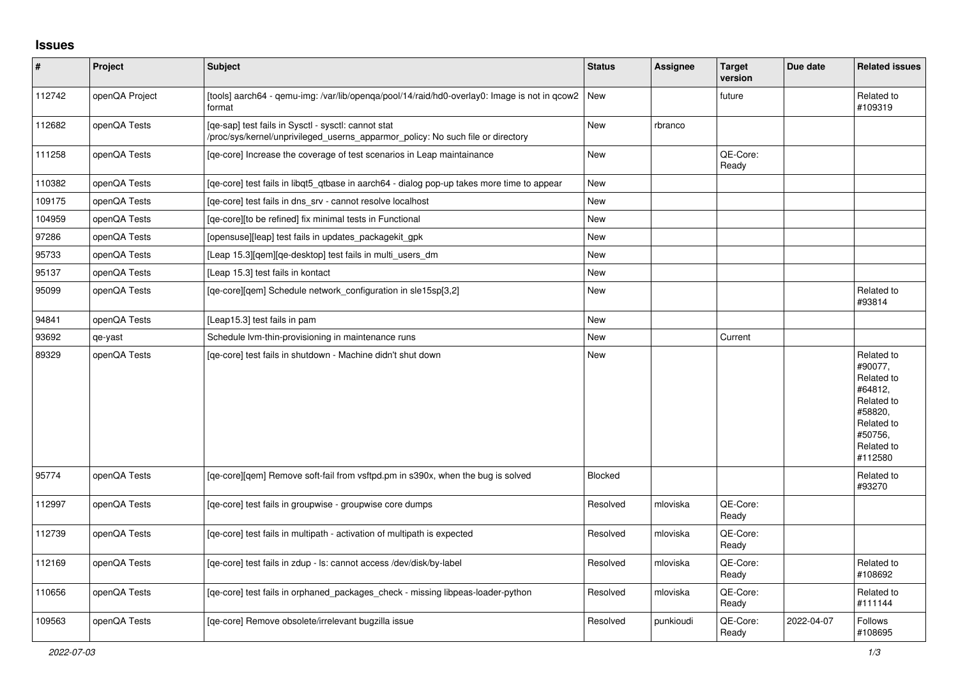## **Issues**

| $\sharp$ | <b>Project</b> | Subject                                                                                                                                | <b>Status</b>  | Assignee  | <b>Target</b><br>version | Due date   | <b>Related issues</b>                                                                                                     |
|----------|----------------|----------------------------------------------------------------------------------------------------------------------------------------|----------------|-----------|--------------------------|------------|---------------------------------------------------------------------------------------------------------------------------|
| 112742   | openQA Project | [tools] aarch64 - qemu-img: /var/lib/openqa/pool/14/raid/hd0-overlay0: Image is not in qcow2  New<br>format                            |                |           | future                   |            | Related to<br>#109319                                                                                                     |
| 112682   | openQA Tests   | [qe-sap] test fails in Sysctl - sysctl: cannot stat<br>/proc/sys/kernel/unprivileged_userns_apparmor_policy: No such file or directory | New            | rbranco   |                          |            |                                                                                                                           |
| 111258   | openQA Tests   | [ge-core] Increase the coverage of test scenarios in Leap maintainance                                                                 | <b>New</b>     |           | QE-Core:<br>Ready        |            |                                                                                                                           |
| 110382   | openQA Tests   | [ge-core] test fails in libgt5 gtbase in aarch64 - dialog pop-up takes more time to appear                                             | New            |           |                          |            |                                                                                                                           |
| 109175   | openQA Tests   | [ge-core] test fails in dns srv - cannot resolve localhost                                                                             | <b>New</b>     |           |                          |            |                                                                                                                           |
| 104959   | openQA Tests   | [ge-core][to be refined] fix minimal tests in Functional                                                                               | <b>New</b>     |           |                          |            |                                                                                                                           |
| 97286    | openQA Tests   | [opensuse][leap] test fails in updates packagekit gpk                                                                                  | <b>New</b>     |           |                          |            |                                                                                                                           |
| 95733    | openQA Tests   | [Leap 15.3][gem][ge-desktop] test fails in multi users dm                                                                              | <b>New</b>     |           |                          |            |                                                                                                                           |
| 95137    | openQA Tests   | [Leap 15.3] test fails in kontact                                                                                                      | <b>New</b>     |           |                          |            |                                                                                                                           |
| 95099    | openQA Tests   | [ge-core][gem] Schedule network configuration in sle15sp[3,2]                                                                          | <b>New</b>     |           |                          |            | Related to<br>#93814                                                                                                      |
| 94841    | openQA Tests   | [Leap15.3] test fails in pam                                                                                                           | <b>New</b>     |           |                          |            |                                                                                                                           |
| 93692    | qe-yast        | Schedule Ivm-thin-provisioning in maintenance runs                                                                                     | <b>New</b>     |           | Current                  |            |                                                                                                                           |
| 89329    | openQA Tests   | [ge-core] test fails in shutdown - Machine didn't shut down                                                                            | <b>New</b>     |           |                          |            | Related to<br>#90077,<br>Related to<br>#64812,<br>Related to<br>#58820,<br>Related to<br>#50756,<br>Related to<br>#112580 |
| 95774    | openQA Tests   | [ge-core][gem] Remove soft-fail from vsftpd.pm in s390x, when the bug is solved                                                        | <b>Blocked</b> |           |                          |            | Related to<br>#93270                                                                                                      |
| 112997   | openQA Tests   | [ge-core] test fails in groupwise - groupwise core dumps                                                                               | Resolved       | mloviska  | QE-Core:<br>Ready        |            |                                                                                                                           |
| 112739   | openQA Tests   | [qe-core] test fails in multipath - activation of multipath is expected                                                                | Resolved       | mloviska  | QE-Core:<br>Ready        |            |                                                                                                                           |
| 112169   | openQA Tests   | [qe-core] test fails in zdup - ls: cannot access /dev/disk/by-label                                                                    | Resolved       | mloviska  | QE-Core:<br>Ready        |            | Related to<br>#108692                                                                                                     |
| 110656   | openQA Tests   | [ge-core] test fails in orphaned packages check - missing libpeas-loader-python                                                        | Resolved       | mloviska  | QE-Core:<br>Ready        |            | Related to<br>#111144                                                                                                     |
| 109563   | openQA Tests   | [ge-core] Remove obsolete/irrelevant bugzilla issue                                                                                    | Resolved       | punkioudi | QE-Core:<br>Ready        | 2022-04-07 | <b>Follows</b><br>#108695                                                                                                 |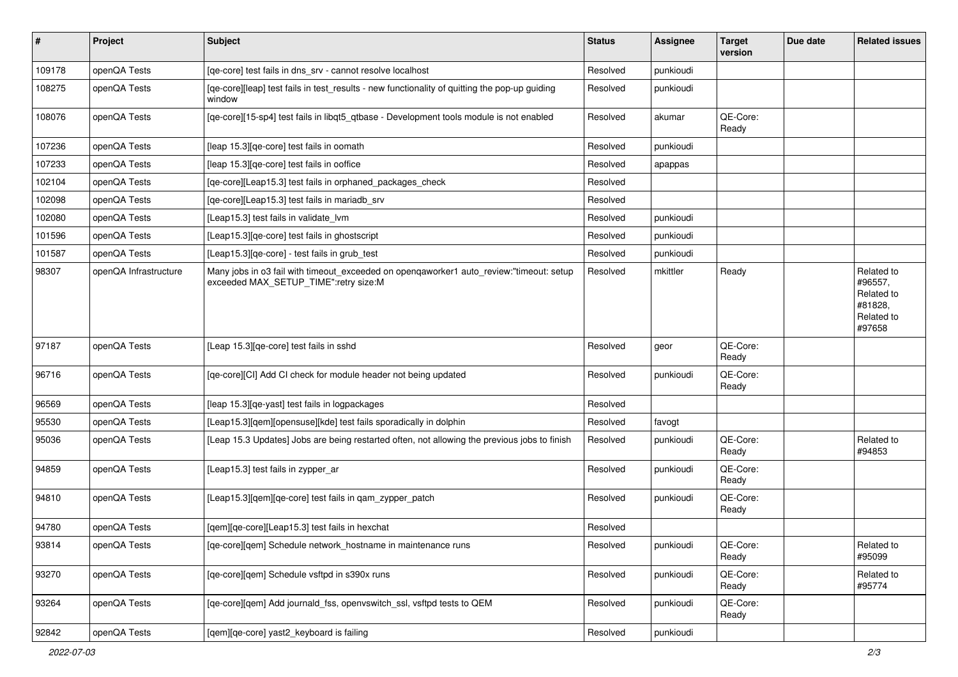| #      | Project               | <b>Subject</b>                                                                                                                   | <b>Status</b> | <b>Assignee</b> | <b>Target</b><br>version | Due date | <b>Related issues</b>                                                  |
|--------|-----------------------|----------------------------------------------------------------------------------------------------------------------------------|---------------|-----------------|--------------------------|----------|------------------------------------------------------------------------|
| 109178 | openQA Tests          | [qe-core] test fails in dns_srv - cannot resolve localhost                                                                       | Resolved      | punkioudi       |                          |          |                                                                        |
| 108275 | openQA Tests          | [qe-core][leap] test fails in test_results - new functionality of quitting the pop-up guiding<br>window                          | Resolved      | punkioudi       |                          |          |                                                                        |
| 108076 | openQA Tests          | [qe-core][15-sp4] test fails in libqt5_qtbase - Development tools module is not enabled                                          | Resolved      | akumar          | QE-Core:<br>Ready        |          |                                                                        |
| 107236 | openQA Tests          | [leap 15.3][qe-core] test fails in oomath                                                                                        | Resolved      | punkioudi       |                          |          |                                                                        |
| 107233 | openQA Tests          | [leap 15.3] [qe-core] test fails in ooffice                                                                                      | Resolved      | apappas         |                          |          |                                                                        |
| 102104 | openQA Tests          | [qe-core][Leap15.3] test fails in orphaned_packages_check                                                                        | Resolved      |                 |                          |          |                                                                        |
| 102098 | openQA Tests          | [ge-core][Leap15.3] test fails in mariadb srv                                                                                    | Resolved      |                 |                          |          |                                                                        |
| 102080 | openQA Tests          | [Leap15.3] test fails in validate lvm                                                                                            | Resolved      | punkioudi       |                          |          |                                                                        |
| 101596 | openQA Tests          | [Leap15.3] [qe-core] test fails in ghostscript                                                                                   | Resolved      | punkioudi       |                          |          |                                                                        |
| 101587 | openQA Tests          | [Leap15.3][qe-core] - test fails in grub_test                                                                                    | Resolved      | punkioudi       |                          |          |                                                                        |
| 98307  | openQA Infrastructure | Many jobs in o3 fail with timeout_exceeded on opengaworker1 auto_review:"timeout: setup<br>exceeded MAX_SETUP_TIME":retry size:M | Resolved      | mkittler        | Ready                    |          | Related to<br>#96557,<br>Related to<br>#81828,<br>Related to<br>#97658 |
| 97187  | openQA Tests          | [Leap 15.3] [qe-core] test fails in sshd                                                                                         | Resolved      | geor            | QE-Core:<br>Ready        |          |                                                                        |
| 96716  | openQA Tests          | [qe-core][CI] Add CI check for module header not being updated                                                                   | Resolved      | punkioudi       | QE-Core:<br>Ready        |          |                                                                        |
| 96569  | openQA Tests          | [leap 15.3] [qe-yast] test fails in logpackages                                                                                  | Resolved      |                 |                          |          |                                                                        |
| 95530  | openQA Tests          | [Leap15.3][qem][opensuse][kde] test fails sporadically in dolphin                                                                | Resolved      | favogt          |                          |          |                                                                        |
| 95036  | openQA Tests          | [Leap 15.3 Updates] Jobs are being restarted often, not allowing the previous jobs to finish                                     | Resolved      | punkioudi       | QE-Core:<br>Ready        |          | Related to<br>#94853                                                   |
| 94859  | openQA Tests          | [Leap15.3] test fails in zypper_ar                                                                                               | Resolved      | punkioudi       | QE-Core:<br>Ready        |          |                                                                        |
| 94810  | openQA Tests          | [Leap15.3][gem][ge-core] test fails in gam_zypper_patch                                                                          | Resolved      | punkioudi       | QE-Core:<br>Ready        |          |                                                                        |
| 94780  | openQA Tests          | [qem][qe-core][Leap15.3] test fails in hexchat                                                                                   | Resolved      |                 |                          |          |                                                                        |
| 93814  | openQA Tests          | [qe-core][qem] Schedule network_hostname in maintenance runs                                                                     | Resolved      | punkioudi       | QE-Core:<br>Ready        |          | Related to<br>#95099                                                   |
| 93270  | openQA Tests          | [ge-core][gem] Schedule vsftpd in s390x runs                                                                                     | Resolved      | punkioudi       | QE-Core:<br>Ready        |          | Related to<br>#95774                                                   |
| 93264  | openQA Tests          | [qe-core][qem] Add journald_fss, openvswitch_ssl, vsftpd tests to QEM                                                            | Resolved      | punkioudi       | QE-Core:<br>Ready        |          |                                                                        |
| 92842  | openQA Tests          | [qem][qe-core] yast2_keyboard is failing                                                                                         | Resolved      | punkioudi       |                          |          |                                                                        |